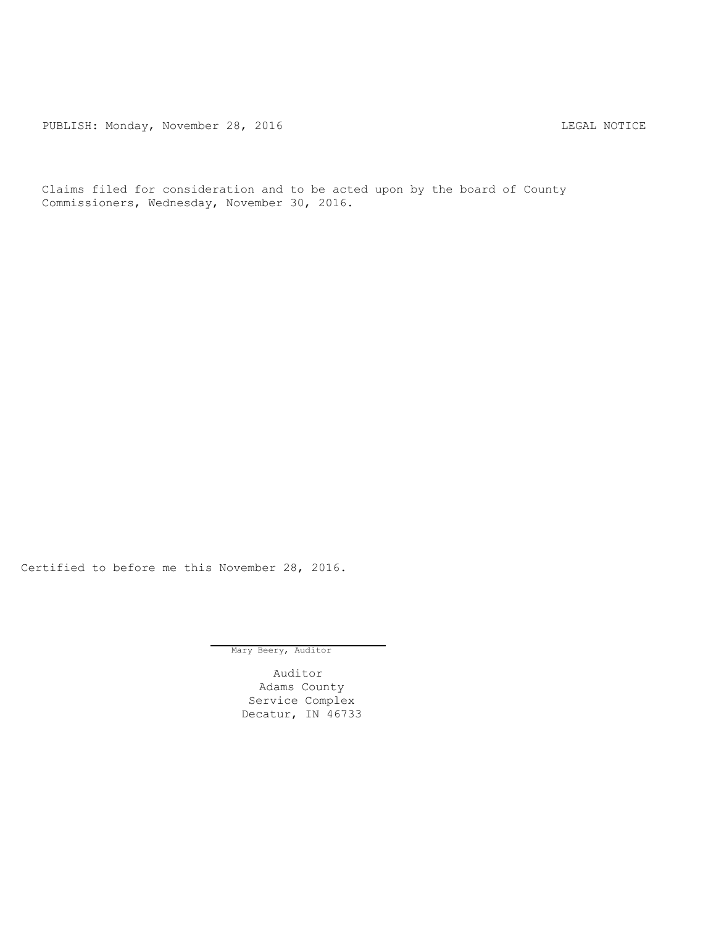PUBLISH: Monday, November 28, 2016 CHA CHANGE CONSTRUCTED AND THE LEGAL NOTICE

Claims filed for consideration and to be acted upon by the board of County Commissioners, Wednesday, November 30, 2016.

Certified to before me this November 28, 2016.

Mary Beery, Auditor

Auditor Adams County Service Complex Decatur, IN 46733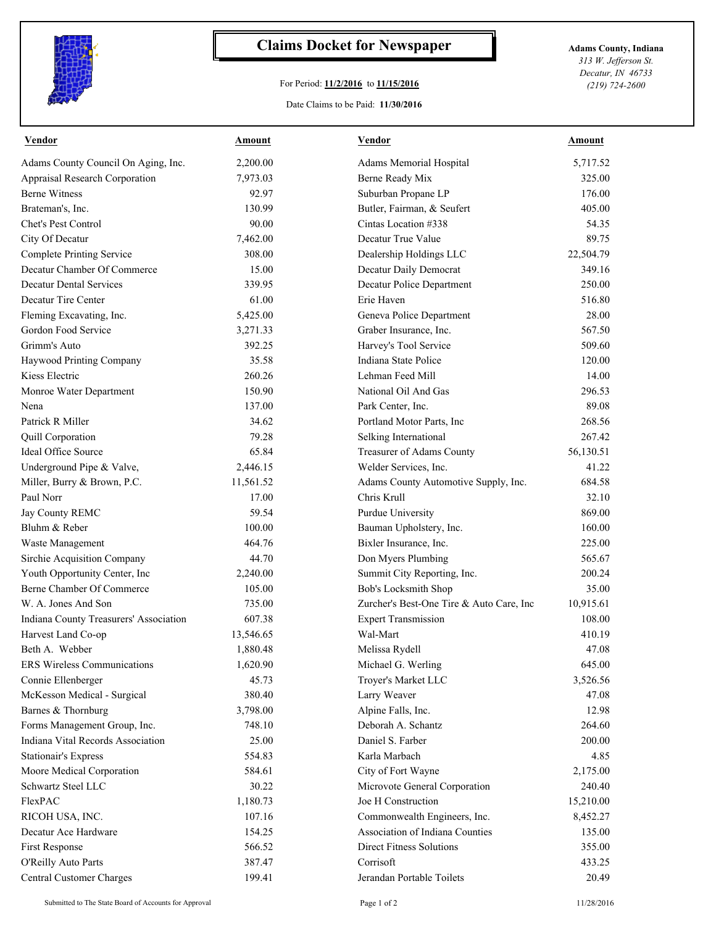

## **Claims Docket for Newspaper Adams County, Indiana**

## For Period: **11/2/2016** to **11/15/2016**

Date Claims to be Paid: **11/30/2016**

*313 W. Jefferson St. Decatur, IN 46733 (219) 724-2600*

| Vendor                                 | Amount    | Vendor                                   | Amount    |
|----------------------------------------|-----------|------------------------------------------|-----------|
| Adams County Council On Aging, Inc.    | 2,200.00  | Adams Memorial Hospital                  | 5,717.52  |
| <b>Appraisal Research Corporation</b>  | 7,973.03  | Berne Ready Mix                          | 325.00    |
| <b>Berne Witness</b>                   | 92.97     | Suburban Propane LP                      | 176.00    |
| Brateman's, Inc.                       | 130.99    | Butler, Fairman, & Seufert               | 405.00    |
| Chet's Pest Control                    | 90.00     | Cintas Location #338                     | 54.35     |
| City Of Decatur                        | 7,462.00  | Decatur True Value                       | 89.75     |
| <b>Complete Printing Service</b>       | 308.00    | Dealership Holdings LLC                  | 22,504.79 |
| Decatur Chamber Of Commerce            | 15.00     | Decatur Daily Democrat                   | 349.16    |
| <b>Decatur Dental Services</b>         | 339.95    | Decatur Police Department                | 250.00    |
| Decatur Tire Center                    | 61.00     | Erie Haven                               | 516.80    |
| Fleming Excavating, Inc.               | 5,425.00  | Geneva Police Department                 | 28.00     |
| Gordon Food Service                    | 3,271.33  | Graber Insurance, Inc.                   | 567.50    |
| Grimm's Auto                           | 392.25    | Harvey's Tool Service                    | 509.60    |
| Haywood Printing Company               | 35.58     | Indiana State Police                     | 120.00    |
| Kiess Electric                         | 260.26    | Lehman Feed Mill                         | 14.00     |
| Monroe Water Department                | 150.90    | National Oil And Gas                     | 296.53    |
| Nena                                   | 137.00    | Park Center, Inc.                        | 89.08     |
| Patrick R Miller                       | 34.62     | Portland Motor Parts, Inc                | 268.56    |
| <b>Quill Corporation</b>               | 79.28     | Selking International                    | 267.42    |
| Ideal Office Source                    | 65.84     | Treasurer of Adams County                | 56,130.51 |
| Underground Pipe & Valve,              | 2,446.15  | Welder Services, Inc.                    | 41.22     |
| Miller, Burry & Brown, P.C.            | 11,561.52 | Adams County Automotive Supply, Inc.     | 684.58    |
| Paul Norr                              | 17.00     | Chris Krull                              | 32.10     |
| Jay County REMC                        | 59.54     | Purdue University                        | 869.00    |
| Bluhm & Reber                          | 100.00    | Bauman Upholstery, Inc.                  | 160.00    |
| Waste Management                       | 464.76    | Bixler Insurance, Inc.                   | 225.00    |
| <b>Sirchie Acquisition Company</b>     | 44.70     | Don Myers Plumbing                       | 565.67    |
| Youth Opportunity Center, Inc          | 2,240.00  | Summit City Reporting, Inc.              | 200.24    |
| Berne Chamber Of Commerce              | 105.00    | Bob's Locksmith Shop                     | 35.00     |
| W. A. Jones And Son                    | 735.00    | Zurcher's Best-One Tire & Auto Care, Inc | 10,915.61 |
| Indiana County Treasurers' Association | 607.38    | <b>Expert Transmission</b>               | 108.00    |
| Harvest Land Co-op                     | 13,546.65 | Wal-Mart                                 | 410.19    |
| Beth A. Webber                         | 1,880.48  | Melissa Rydell                           | 47.08     |
| <b>ERS Wireless Communications</b>     | 1,620.90  | Michael G. Werling                       | 645.00    |
| Connie Ellenberger                     | 45.73     | Troyer's Market LLC                      | 3,526.56  |
| McKesson Medical - Surgical            | 380.40    | Larry Weaver                             | 47.08     |
| Barnes & Thornburg                     | 3,798.00  | Alpine Falls, Inc.                       | 12.98     |
| Forms Management Group, Inc.           | 748.10    | Deborah A. Schantz                       | 264.60    |
| Indiana Vital Records Association      | 25.00     | Daniel S. Farber                         | 200.00    |
| <b>Stationair's Express</b>            | 554.83    | Karla Marbach                            | 4.85      |
| Moore Medical Corporation              | 584.61    | City of Fort Wayne                       | 2,175.00  |
| Schwartz Steel LLC                     | 30.22     | Microvote General Corporation            | 240.40    |
| FlexPAC                                | 1,180.73  | Joe H Construction                       | 15,210.00 |
| RICOH USA, INC.                        | 107.16    | Commonwealth Engineers, Inc.             | 8,452.27  |
| Decatur Ace Hardware                   | 154.25    | Association of Indiana Counties          | 135.00    |
| <b>First Response</b>                  | 566.52    | <b>Direct Fitness Solutions</b>          | 355.00    |
|                                        | 387.47    | Corrisoft                                | 433.25    |
| O'Reilly Auto Parts                    |           |                                          |           |